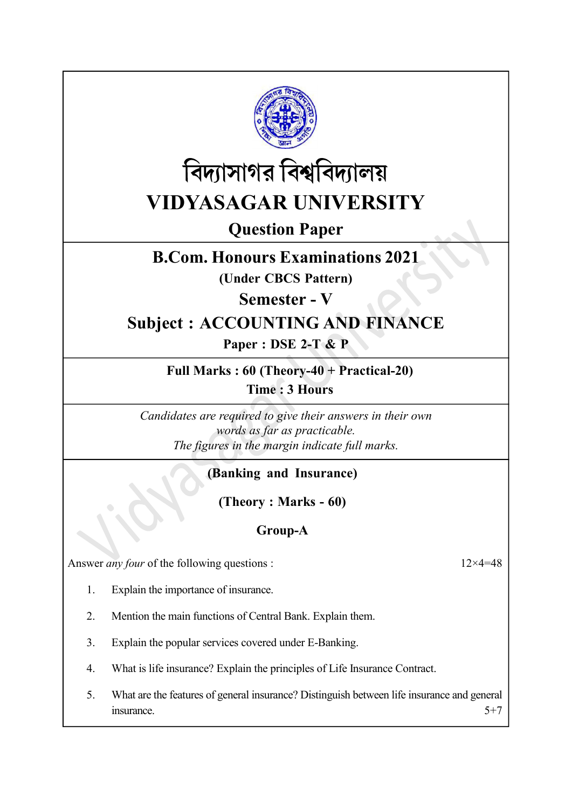



Question Paper

# B.Com. Honours Examinations 2021

(Under CBCS Pattern)

Semester - V

# Subject : ACCOUNTING AND FINANCE

Paper : DSE 2-T & P

#### Full Marks : 60 (Theory-40 + Practical-20) Time : 3 Hours

Candidates are required to give their answers in their own words as far as practicable. The figures in the margin indicate full marks.

## (Banking and Insurance)

(Theory : Marks - 60)

## Group-A

Answer *any four* of the following questions : 12×4=48

- 1. Explain the importance of insurance.
- 2. Mention the main functions of Central Bank. Explain them.
- 3. Explain the popular services covered under E-Banking.
- 4. What is life insurance? Explain the principles of Life Insurance Contract.
- 5. What are the features of general insurance? Distinguish between life insurance and general  $\frac{1}{5}$  insurance.  $5+7$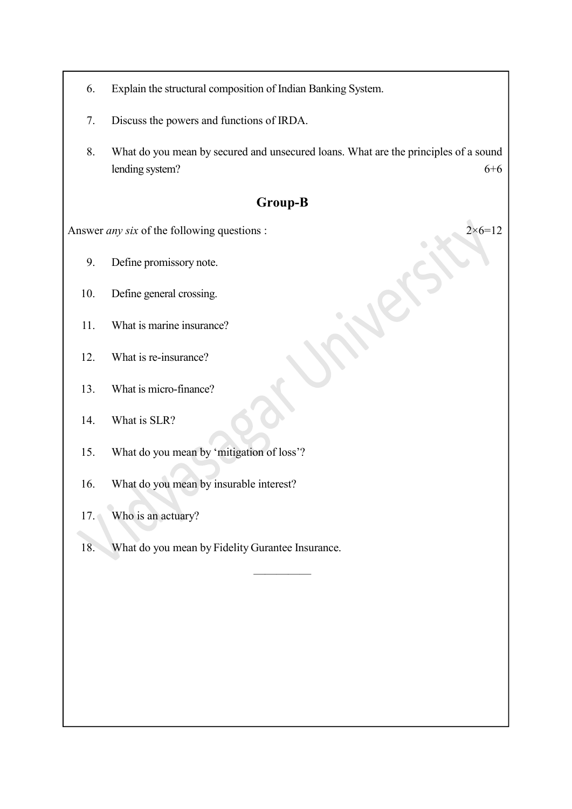- 6. Explain the structural composition of Indian Banking System.
- 7. Discuss the powers and functions of IRDA.
- 8. What do you mean by secured and unsecured loans. What are the principles of a sound lending system? 6+6

#### Group-B

—————————————<br>————————————————————

Answer *any six* of the following questions :  $2 \times 6 = 12$ 

- 9. Define promissory note.
- 10. Define general crossing.
- 11. What is marine insurance?
- 12. What is re-insurance?
- 13. What is micro-finance?
- 14. What is SLR?
- 15. What do you mean by 'mitigation of loss'?
- 16. What do you mean by insurable interest?
- 17. Who is an actuary?
- 18. What do you mean by Fidelity Gurantee Insurance.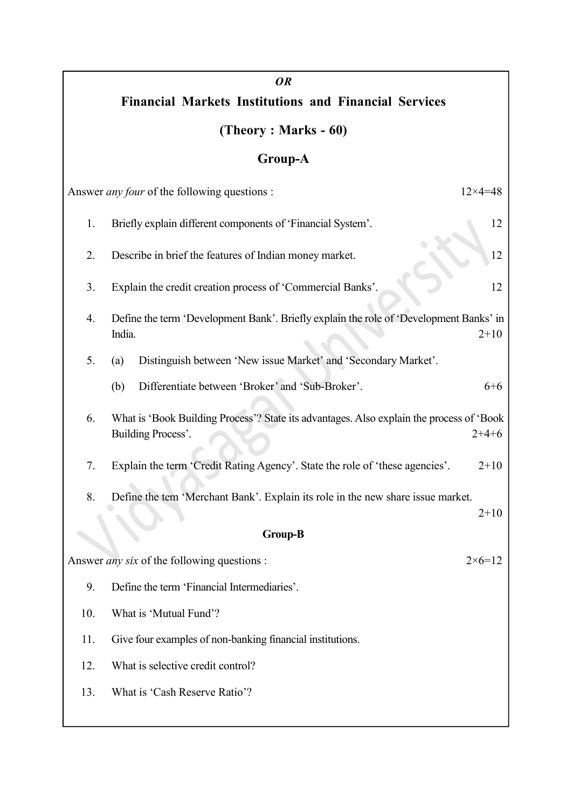# OR Financial Markets Institutions and Financial Services (Theory : Marks - 60) Group-A Answer *any four* of the following questions : 12×4=48 1. Briefly explain different components of 'Financial System'. 12 2. Describe in brief the features of Indian money market. 3. Explain the credit creation process of 'Commercial Banks'. 12 4. Define the term 'Development Bank'. Briefly explain the role of 'Development Banks' in India. 2+10 5. (a) Distinguish between 'New issue Market' and 'Secondary Market'. (b) Differentiate between 'Broker' and 'Sub-Broker'. 6+6 6. What is 'Book Building Process'? State its advantages. Also explain the process of 'Book Building Process'. 2+4+6 7. Explain the term 'Credit Rating Agency'. State the role of 'these agencies'. 2+10 8. Define the tem 'Merchant Bank'. Explain its role in the new share issue market.  $2+10$ Group-B Answer *any six* of the following questions :  $2 \times 6 = 12$ 9. Define the term 'Financial Intermediaries'. 10. What is 'Mutual Fund'? 11. Give four examples of non-banking financial institutions. 12. What is selective credit control? 13. What is 'Cash Reserve Ratio'?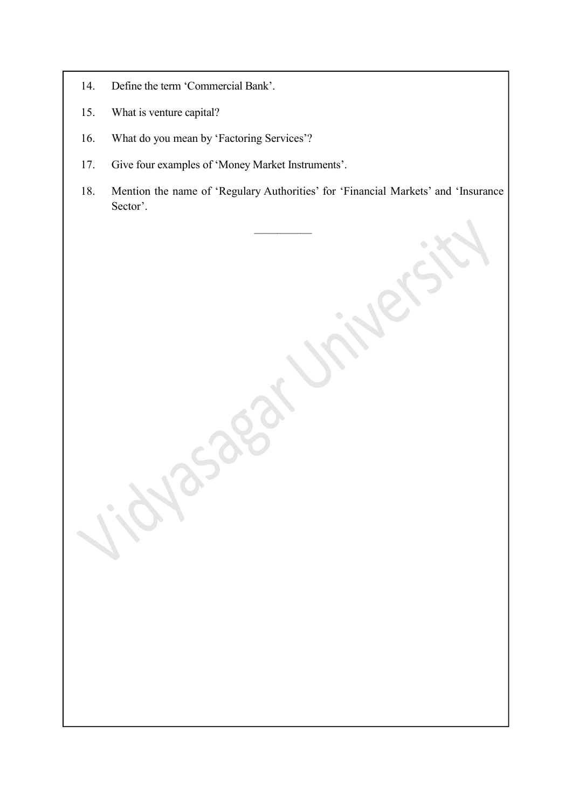- 14. Define the term 'Commercial Bank'.
- 15. What is venture capital?
- 16. What do you mean by 'Factoring Services'?
- 17. Give four examples of 'Money Market Instruments'.
- 18. Mention the name of 'Regulary Authorities' for 'Financial Markets' and 'Insurance Sector'.

—————————————<br>————————————————————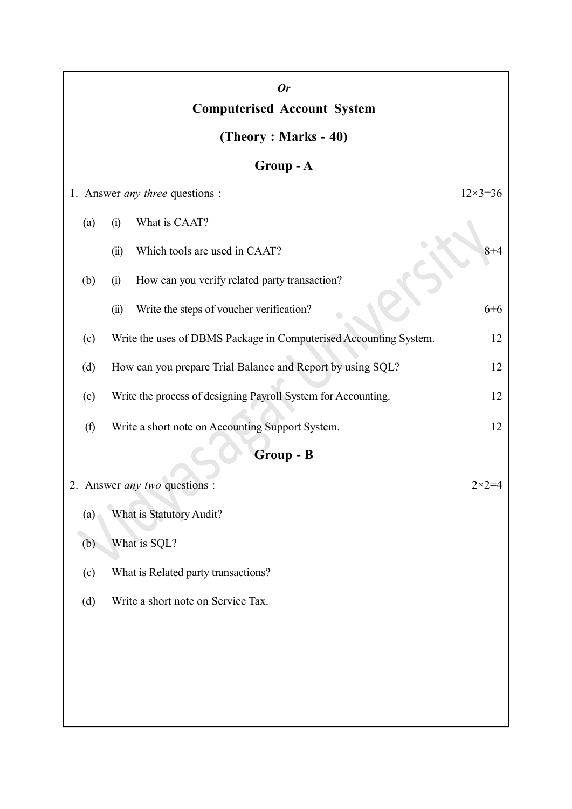|                                                   | <b>Or</b>                                                         |                    |
|---------------------------------------------------|-------------------------------------------------------------------|--------------------|
| <b>Computerised Account System</b>                |                                                                   |                    |
| (Theory: Marks - 40)                              |                                                                   |                    |
| Group - A                                         |                                                                   |                    |
|                                                   | 1. Answer <i>any three</i> questions :                            | $12 \times 3 = 36$ |
| (a)                                               | What is CAAT?<br>(i)                                              |                    |
|                                                   | Which tools are used in CAAT?<br>(ii)                             | $8 + 4$            |
| (b)                                               | How can you verify related party transaction?<br>(i)              |                    |
|                                                   | Write the steps of voucher verification?<br>(ii)                  | $6 + 6$            |
| (c)                                               | Write the uses of DBMS Package in Computerised Accounting System. | 12                 |
| (d)                                               | How can you prepare Trial Balance and Report by using SQL?        | 12                 |
| (e)                                               | Write the process of designing Payroll System for Accounting.     | 12                 |
| (f)                                               | Write a short note on Accounting Support System.                  | 12                 |
| <b>Group - B</b>                                  |                                                                   |                    |
| 2. Answer any two questions :<br>$2 \times 2 = 4$ |                                                                   |                    |
| (a)                                               | What is Statutory Audit?                                          |                    |
| (b)                                               | What is SQL?                                                      |                    |
| (c)                                               | What is Related party transactions?                               |                    |
| (d)                                               | Write a short note on Service Tax.                                |                    |
|                                                   |                                                                   |                    |
|                                                   |                                                                   |                    |
|                                                   |                                                                   |                    |
|                                                   |                                                                   |                    |